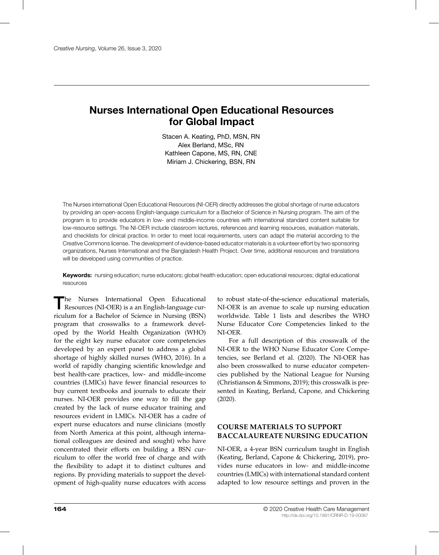# **Nurses International Open Educational Resources for Global Impact**

Stacen A. Keating, PhD, MSN, RN Alex Berland, MSc, RN Kathleen Capone, MS, RN, CNE Miriam J. Chickering, BSN, RN

The Nurses international Open Educational Resources (NI-OER) directly addresses the global shortage of nurse educators by providing an open-access English-language curriculum for a Bachelor of Science in Nursing program. The aim of the program is to provide educators in low- and middle-income countries with international standard content suitable for low-resource settings. The NI-OER include classroom lectures, references and learning resources, evaluation materials, and checklists for clinical practice. In order to meet local requirements, users can adapt the material according to the Creative Commons license. The development of evidence-based educator materials is a volunteer effort by two sponsoring organizations, Nurses International and the Bangladesh Health Project. Over time, additional resources and translations will be developed using communities of practice.

**Keywords:** nursing education; nurse educators; global health education; open educational resources; digital educational resources

The Nurses International Open Educational Resources (NI-OER) is a an English-language curhe Nurses International Open Educational riculum for a Bachelor of Science in Nursing (BSN) program that crosswalks to a framework developed by the World Health Organization (WHO) for the eight key nurse educator core competencies developed by an expert panel to address a global shortage of highly skilled nurses (WHO, 2016). In a world of rapidly changing scientific knowledge and best health-care practices, low- and middle-income countries (LMICs) have fewer financial resources to buy current textbooks and journals to educate their nurses. NI-OER provides one way to fill the gap created by the lack of nurse educator training and resources evident in LMICs. NI-OER has a cadre of expert nurse educators and nurse clinicians (mostly from North America at this point, although international colleagues are desired and sought) who have concentrated their efforts on building a BSN curriculum to offer the world free of charge and with the flexibility to adapt it to distinct cultures and regions. By providing materials to support the development of high-quality nurse educators with access

to robust state-of-the-science educational materials, NI-OER is an avenue to scale up nursing education worldwide. Table 1 lists and describes the WHO Nurse Educator Core Competencies linked to the NI-OER.

For a full description of this crosswalk of the NI-OER to the WHO Nurse Educator Core Competencies, see Berland et al. (2020). The NI-OER has also been crosswalked to nurse educator competencies published by the National League for Nursing (Christianson & Simmons, 2019); this crosswalk is presented in Keating, Berland, Capone, and Chickering (2020).

## **COURSE MATERIALS TO SUPPORT BACCALAUREATE NURSING EDUCATION**

NI-OER, a 4-year BSN curriculum taught in English (Keating, Berland, Capone & Chickering, 2019), provides nurse educators in low- and middle-income countries (LMICs) with international standard content adapted to low resource settings and proven in the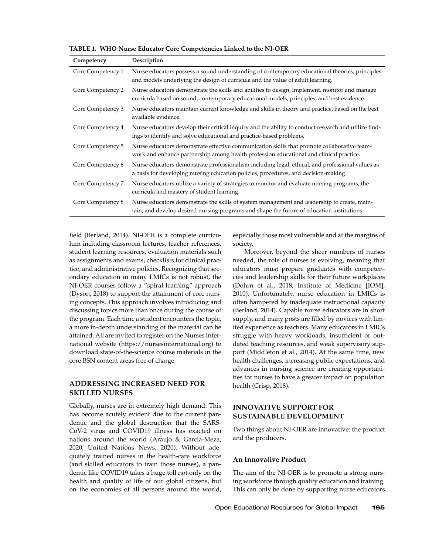| Competency        | Description                                                                                                                                                                                |
|-------------------|--------------------------------------------------------------------------------------------------------------------------------------------------------------------------------------------|
| Core Competency 1 | Nurse educators possess a sound understanding of contemporary educational theories, principles<br>and models underlying the design of curricula and the value of adult learning.           |
| Core Competency 2 | Nurse educators demonstrate the skills and abilities to design, implement, monitor and manage<br>curricula based on sound, contemporary educational models, principles, and best evidence. |
| Core Competency 3 | Nurse educators maintain current knowledge and skills in theory and practice, based on the best<br>available evidence.                                                                     |
| Core Competency 4 | Nurse educators develop their critical inquiry and the ability to conduct research and utilize find-<br>ings to identify and solve educational and practice-based problems.                |
| Core Competency 5 | Nurse educators demonstrate effective communication skills that promote collaborative team-<br>work and enhance partnership among health profession educational and clinical practice.     |
| Core Competency 6 | Nurse educators demonstrate professionalism including legal, ethical, and professional values as<br>a basis for developing nursing education policies, procedures, and decision-making.    |
| Core Competency 7 | Nurse educators utilize a variety of strategies to monitor and evaluate nursing programs, the<br>curricula and mastery of student learning.                                                |
| Core Competency 8 | Nurse educators demonstrate the skills of system management and leadership to create, main-<br>tain, and develop desired nursing programs and shape the future of education institutions.  |

**TABLE 1. WHO Nurse Educator Core Competencies Linked to the NI-OER**

field (Berland, 2014). NI-OER is a complete curriculum including classroom lectures, teacher references, student learning resources, evaluation materials such as assignments and exams, checklists for clinical practice, and administrative policies. Recognizing that secondary education in many LMICs is not robust, the NI-OER courses follow a "spiral learning" approach (Dyson, 2018) to support the attainment of core nursing concepts. This approach involves introducing and discussing topics more than once during the course of the program. Each time a student encounters the topic, a more in-depth understanding of the material can be attained. All are invited to register on the Nurses International website (https://nursesinternational.org) to download state-of-the-science course materials in the core BSN content areas free of charge.

### **ADDRESSING INCREASED NEED FOR SKILLED NURSES**

Globally, nurses are in extremely high demand. This has become acutely evident due to the current pandemic and the global destruction that the SARS-CoV-2 virus and COVID19 illness has exacted on nations around the world (Araujo & Garcia-Meza, 2020; United Nations News, 2020). Without adequately trained nurses in the health-care workforce (and skilled educators to train those nurses), a pandemic like COVID19 takes a huge toll not only on the health and quality of life of our global citizens, but especially those most vulnerable and at the margins of society.

Moreover, beyond the sheer numbers of nurses needed, the role of nurses is evolving, meaning that educators must prepare graduates with competencies and leadership skills for their future workplaces (Dohrn et al., 2018; Institute of Medicine [IOM], 2010). Unfortunately, nurse education in LMICs is often hampered by inadequate instructional capacity (Berland, 2014). Capable nurse educators are in short supply, and many posts are filled by novices with limited experience as teachers. Many educators in LMICs struggle with heavy workloads, insufficient or outdated teaching resources, and weak supervisory support (Middleton et al., 2014). At the same time, new health challenges, increasing public expectations, and advances in nursing science are creating opportunities for nurses to have a greater impact on population health (Crisp, 2018).

### **INNOVATIVE SUPPORT FOR SUSTAINABLE DEVELOPMENT**

Two things about NI-OER are innovative: the product and the producers.

## **An Innovative Product**

on the economies of all persons around the world, This can only be done by supporting nurse educators The aim of the NI-OER is to promote a strong nursing workforce through quality education and training.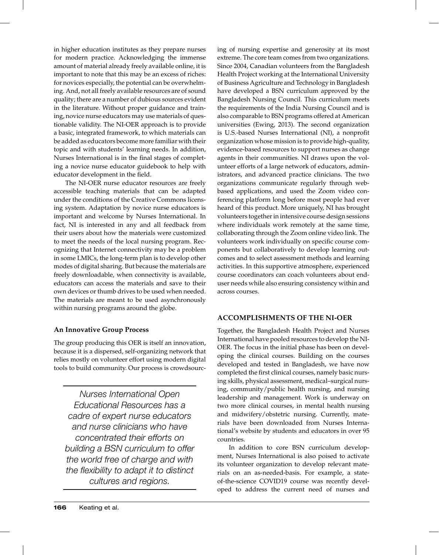in higher education institutes as they prepare nurses for modern practice. Acknowledging the immense amount of material already freely available online, it is important to note that this may be an excess of riches: for novices especially, the potential can be overwhelming. And, not all freely available resources are of sound quality; there are a number of dubious sources evident in the literature. Without proper guidance and training, novice nurse educators may use materials of questionable validity. The NI-OER approach is to provide a basic, integrated framework, to which materials can be added as educators become more familiar with their topic and with students' learning needs. In addition, Nurses International is in the final stages of completing a novice nurse educator guidebook to help with educator development in the field.

The NI-OER nurse educator resources are freely accessible teaching materials that can be adapted under the conditions of the Creative Commons licensing system. Adaptation by novice nurse educators is important and welcome by Nurses International. In fact, NI is interested in any and all feedback from their users about how the materials were customized to meet the needs of the local nursing program. Recognizing that Internet connectivity may be a problem in some LMICs, the long-term plan is to develop other modes of digital sharing. But because the materials are freely downloadable, when connectivity is available, educators can access the materials and save to their own devices or thumb drives to be used when needed. The materials are meant to be used asynchronously within nursing programs around the globe.

## **An Innovative Group Process**

The group producing this OER is itself an innovation, because it is a dispersed, self-organizing network that relies mostly on volunteer effort using modern digital tools to build community. Our process is crowdsourc-

*Nurses International Open Educational Resources has a cadre of expert nurse educators and nurse clinicians who have concentrated their efforts on building a BSN curriculum to offer the world free of charge and with the flexibility to adapt it to distinct cultures and regions.*

ing of nursing expertise and generosity at its most extreme. The core team comes from two organizations. Since 2004, Canadian volunteers from the Bangladesh Health Project working at the International University of Business Agriculture and Technology in Bangladesh have developed a BSN curriculum approved by the Bangladesh Nursing Council. This curriculum meets the requirements of the India Nursing Council and is also comparable to BSN programs offered at American universities (Ewing, 2013). The second organization is U.S.-based Nurses International (NI), a nonprofit organization whose mission is to provide high-quality, evidence-based resources to support nurses as change agents in their communities. NI draws upon the volunteer efforts of a large network of educators, administrators, and advanced practice clinicians. The two organizations communicate regularly through webbased applications, and used the Zoom video conferencing platform long before most people had ever heard of this product. More uniquely, NI has brought volunteers together in intensive course design sessions where individuals work remotely at the same time, collaborating through the Zoom online video link. The volunteers work individually on specific course components but collaboratively to develop learning outcomes and to select assessment methods and learning activities. In this supportive atmosphere, experienced course coordinators can coach volunteers about enduser needs while also ensuring consistency within and across courses.

#### **ACCOMPLISHMENTS OF THE NI-OER**

Together, the Bangladesh Health Project and Nurses International have pooled resources to develop the NI-OER. The focus in the initial phase has been on developing the clinical courses. Building on the courses developed and tested in Bangladesh, we have now completed the first clinical courses, namely basic nursing skills, physical assessment, medical–surgical nursing, community/public health nursing, and nursing leadership and management. Work is underway on two more clinical courses, in mental health nursing and midwifery/obstetric nursing. Currently, materials have been downloaded from Nurses International's website by students and educators in over 95 countries.

In addition to core BSN curriculum development, Nurses International is also poised to activate its volunteer organization to develop relevant materials on an as-needed-basis. For example, a stateof-the-science COVID19 course was recently developed to address the current need of nurses and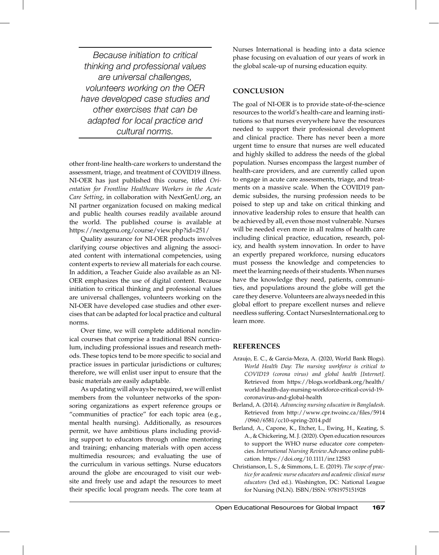*Because initiation to critical thinking and professional values are universal challenges, volunteers working on the OER have developed case studies and other exercises that can be adapted for local practice and cultural norms.*

other front-line health-care workers to understand the assessment, triage, and treatment of COVID19 illness. NI-OER has just published this course, titled *Orientation for Frontline Healthcare Workers in the Acute Care Setting*, in collaboration with NextGenU.org, an NI partner organization focused on making medical and public health courses readily available around the world. The published course is available at https://nextgenu.org/course/view.php?id=251/

Quality assurance for NI-OER products involves clarifying course objectives and aligning the associated content with international competencies, using content experts to review all materials for each course. In addition, a Teacher Guide also available as an NI-OER emphasizes the use of digital content. Because initiation to critical thinking and professional values are universal challenges, volunteers working on the NI-OER have developed case studies and other exercises that can be adapted for local practice and cultural norms.

Over time, we will complete additional nonclinical courses that comprise a traditional BSN curriculum, including professional issues and research methods. These topics tend to be more specific to social and practice issues in particular jurisdictions or cultures; therefore, we will enlist user input to ensure that the basic materials are easily adaptable.

As updating will always be required, we will enlist members from the volunteer networks of the sponsoring organizations as expert reference groups or "communities of practice" for each topic area (e.g., mental health nursing). Additionally, as resources permit, we have ambitious plans including providing support to educators through online mentoring and training; enhancing materials with open access multimedia resources; and evaluating the use of the curriculum in various settings. Nurse educators around the globe are encouraged to visit our website and freely use and adapt the resources to meet their specific local program needs. The core team at for Nursing (NLN). ISBN/ISSN: 9781975151928

Nurses International is heading into a data science phase focusing on evaluation of our years of work in the global scale-up of nursing education equity.

#### **CONCLUSION**

The goal of NI-OER is to provide state-of-the-science resources to the world's health-care and learning institutions so that nurses everywhere have the resources needed to support their professional development and clinical practice. There has never been a more urgent time to ensure that nurses are well educated and highly skilled to address the needs of the global population. Nurses encompass the largest number of health-care providers, and are currently called upon to engage in acute care assessments, triage, and treatments on a massive scale. When the COVID19 pandemic subsides, the nursing profession needs to be poised to step up and take on critical thinking and innovative leadership roles to ensure that health can be achieved by all, even those most vulnerable. Nurses will be needed even more in all realms of health care including clinical practice, education, research, policy, and health system innovation. In order to have an expertly prepared workforce, nursing educators must possess the knowledge and competencies to meet the learning needs of their students. When nurses have the knowledge they need, patients, communities, and populations around the globe will get the care they deserve. Volunteers are always needed in this global effort to prepare excellent nurses and relieve needless suffering. Contact NursesInternational.org to learn more.

#### **REFERENCES**

- Araujo, E. C., & Garcia-Meza, A. (2020, World Bank Blogs). *World Health Day: The nursing workforce is critical to COVID19 (corona virus) and global health [Internet]*. Retrieved from https://blogs.worldbank.org/health/ world-health-day-nursing-workforce-critical-covid-19 coronavirus-and-global-health
- Berland, A. (2014). *Advancing nursing education in Bangladesh*. Retrieved from http://www.cpr.twoinc.ca/files/5914 /0960/6581/cc10-spring-2014.pdf
- Berland, A., Capone, K., Etcher, L., Ewing, H., Keating, S. A., & Chickering, M. J. (2020). Open education resources to support the WHO nurse educator core competencies. *International Nursing Review*.Advance online publication. https://doi.org/10.1111/inr.12583
- Christianson, L. S., & Simmons, L. E. (2019). *The scope of practice for academic nurse educators and academic clinical nurse educators* (3rd ed.). Washington, DC: National League